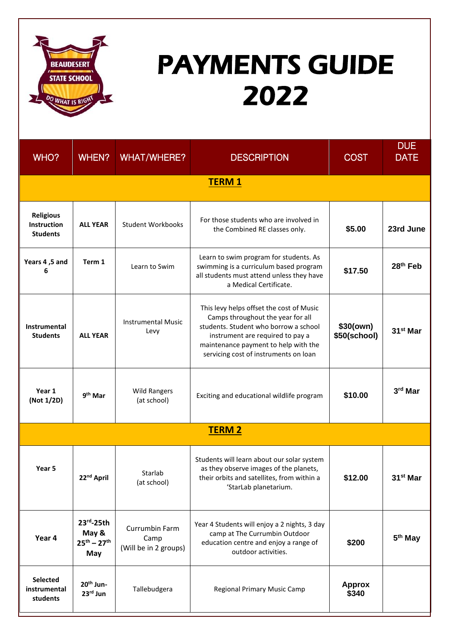

## PAYMENTS GUIDE 2022

| WHO?                                               | WHEN?                                                | <b>WHAT/WHERE?</b>                              | <b>DESCRIPTION</b>                                                                                                                                                                                                                          | <b>COST</b>               | <b>DUE</b><br><b>DATE</b> |  |  |  |  |
|----------------------------------------------------|------------------------------------------------------|-------------------------------------------------|---------------------------------------------------------------------------------------------------------------------------------------------------------------------------------------------------------------------------------------------|---------------------------|---------------------------|--|--|--|--|
| <b>TERM 1</b>                                      |                                                      |                                                 |                                                                                                                                                                                                                                             |                           |                           |  |  |  |  |
| <b>Religious</b><br>Instruction<br><b>Students</b> | <b>ALL YEAR</b>                                      | <b>Student Workbooks</b>                        | For those students who are involved in<br>the Combined RE classes only.                                                                                                                                                                     | \$5.00                    | 23rd June                 |  |  |  |  |
| Years 4, 5 and<br>6                                | Term 1                                               | Learn to Swim                                   | Learn to swim program for students. As<br>swimming is a curriculum based program<br>all students must attend unless they have<br>a Medical Certificate.                                                                                     | \$17.50                   | 28 <sup>th</sup> Feb      |  |  |  |  |
| Instrumental<br><b>Students</b>                    | <b>ALL YEAR</b>                                      | <b>Instrumental Music</b><br>Levy               | This levy helps offset the cost of Music<br>Camps throughout the year for all<br>students. Student who borrow a school<br>instrument are required to pay a<br>maintenance payment to help with the<br>servicing cost of instruments on loan | \$30(own)<br>\$50(school) | 31 <sup>st</sup> Mar      |  |  |  |  |
| Year 1<br>(Not 1/2D)                               | 9 <sup>th</sup> Mar                                  | <b>Wild Rangers</b><br>(at school)              | Exciting and educational wildlife program                                                                                                                                                                                                   | \$10.00                   | 3rd Mar                   |  |  |  |  |
| <b>TERM 2</b>                                      |                                                      |                                                 |                                                                                                                                                                                                                                             |                           |                           |  |  |  |  |
| Year <sub>5</sub>                                  | 22 <sup>nd</sup> April                               | Starlab<br>(at school)                          | Students will learn about our solar system<br>as they observe images of the planets,<br>their orbits and satellites, from within a<br>'StarLab planetarium.                                                                                 | \$12.00                   | 31 <sup>st</sup> Mar      |  |  |  |  |
| Year 4                                             | $23rd - 25th$<br>May &<br>$25^{th} - 27^{th}$<br>May | Currumbin Farm<br>Camp<br>(Will be in 2 groups) | Year 4 Students will enjoy a 2 nights, 3 day<br>camp at The Currumbin Outdoor<br>education centre and enjoy a range of<br>outdoor activities.                                                                                               | \$200                     | 5 <sup>th</sup> May       |  |  |  |  |
| Selected<br>instrumental<br>students               | 20 <sup>th</sup> Jun-<br>23rd Jun                    | Tallebudgera                                    | Regional Primary Music Camp                                                                                                                                                                                                                 | <b>Approx</b><br>\$340    |                           |  |  |  |  |